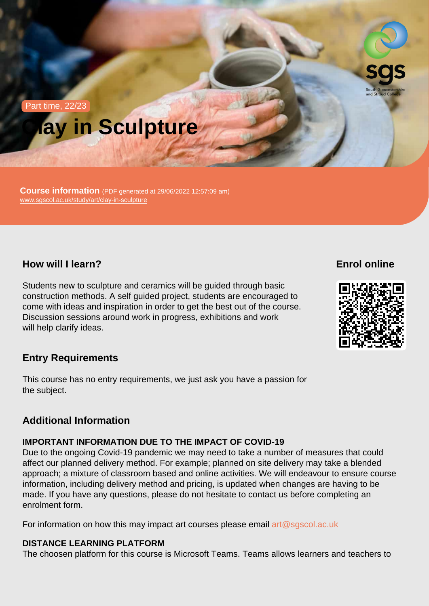# Part time, 22/23 Clay in Sculpture

Course information (PDF generated at 29/06/2022 12:57:09 am) [www.sgscol.ac.uk/study/art/clay-in-sculpture](https://www.sgscol.ac.uk/study/art/clay-in-sculpture)

How will I learn?

Enrol online

Students new to sculpture and ceramics will be guided through basic construction methods. A self guided project, students are encouraged to come with ideas and inspiration in order to get the best out of the course. Discussion sessions around work in progress, exhibitions and work will help clarify ideas.

Entry Requirements

This course has no entry requirements, we just ask you have a passion for the subject.

## Additional Information

### IMPORTANT INFORMATION DUE TO THE IMPACT OF COVID-19

Due to the ongoing Covid-19 pandemic we may need to take a number of measures that could affect our planned delivery method. For example; planned on site delivery may take a blended approach; a mixture of classroom based and online activities. We will endeavour to ensure course information, including delivery method and pricing, is updated when changes are having to be made. If you have any questions, please do not hesitate to contact us before completing an enrolment form.

For information on how this may impact art courses please email [art@sgscol.ac.uk](mailto:art@sgscol.ac.uk)

DISTANCE LEARNING PLATFORM

The choosen platform for this course is Microsoft Teams. Teams allows learners and teachers to